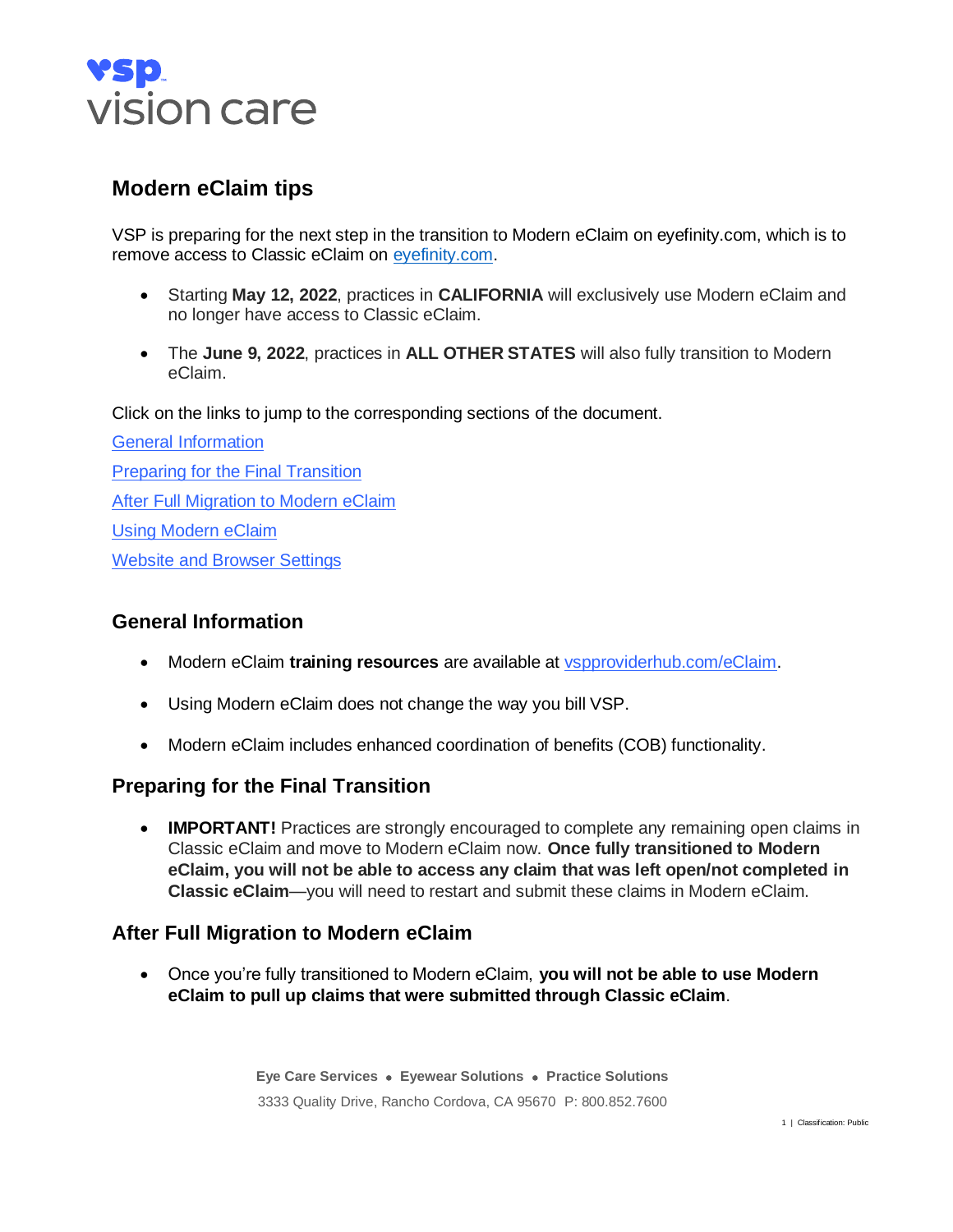

# **Modern eClaim tips**

VSP is preparing for the next step in the transition to Modern eClaim on eyefinity.com, which is to remove access to Classic eClaim on evefinity.com.

- Starting **May 12, 2022**, practices in **CALIFORNIA** will exclusively use Modern eClaim and no longer have access to Classic eClaim.
- The **June 9, 2022**, practices in **ALL OTHER STATES** will also fully transition to Modern eClaim.

Click on the links to jump to the corresponding sections of the document.

[General Information](#page-0-0) [Preparing for the Final Transition](#page-0-1) [After Full Migration to Modern eClaim](#page-0-2) [Using Modern eClaim](#page-1-0) [Website and Browser Settings](#page-2-0)

## <span id="page-0-0"></span>**General Information**

- Modern eClaim **training resources** are available at [vspproviderhub.com/eClaim.](https://www.vspproviderhub.com/eClaim)
- Using Modern eClaim does not change the way you bill VSP.
- Modern eClaim includes enhanced coordination of benefits (COB) functionality.

## **Preparing for the Final Transition**

• **IMPORTANT!** Practices are strongly encouraged to complete any remaining open claims in Classic eClaim and move to Modern eClaim now. **Once fully transitioned to Modern eClaim, you will not be able to access any claim that was left open/not completed in Classic eClaim**—you will need to restart and submit these claims in Modern eClaim.

## <span id="page-0-2"></span>**After Full Migration to Modern eClaim**

• Once you're fully transitioned to Modern eClaim, **you will not be able to use Modern eClaim to pull up claims that were submitted through Classic eClaim**.

> <span id="page-0-1"></span>**Eye Care Services** • **Eyewear Solutions** • **Practice Solutions** 3333 Quality Drive, Rancho Cordova, CA 95670 P: 800.852.7600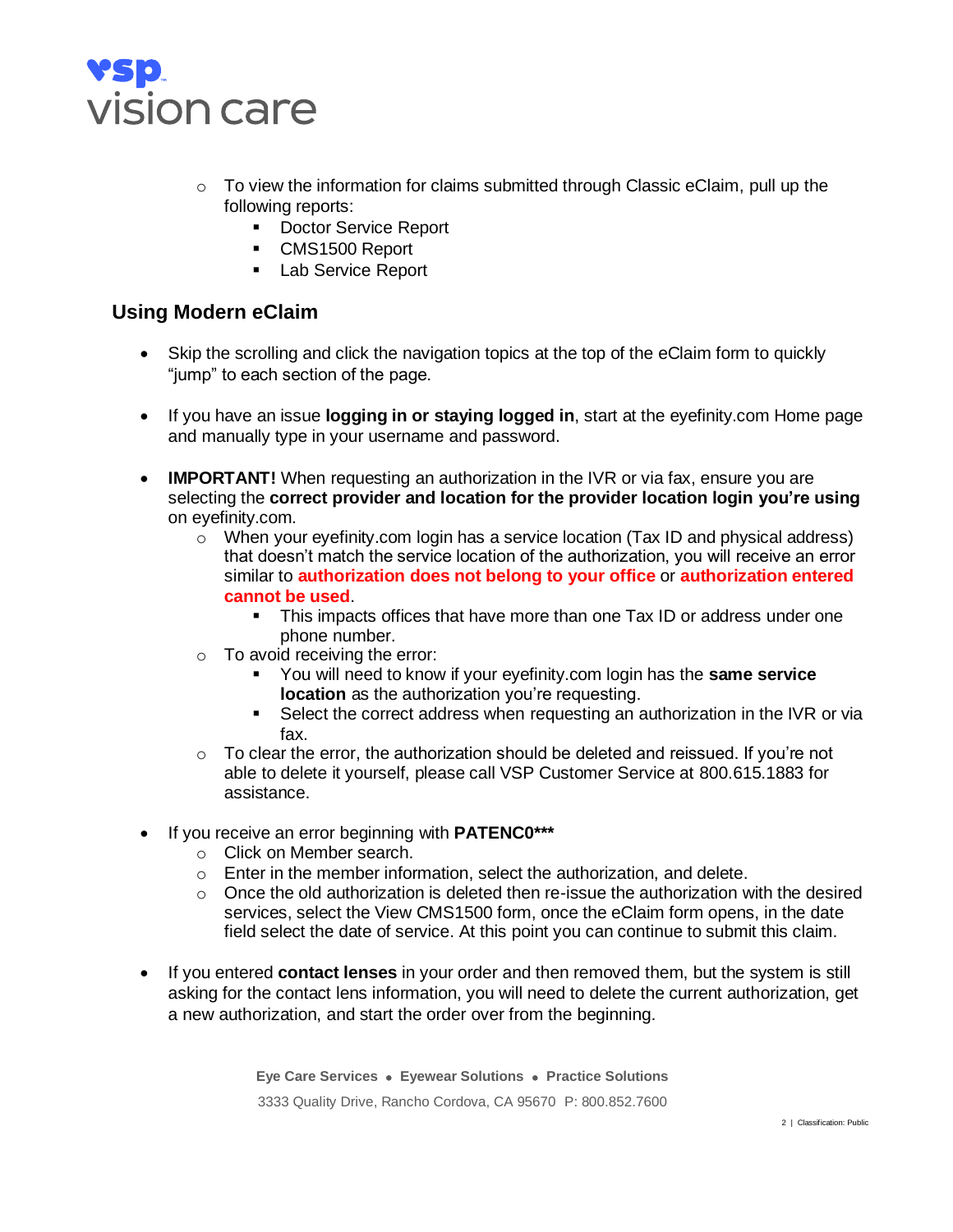

- $\circ$  To view the information for claims submitted through Classic eClaim, pull up the following reports:
	- Doctor Service Report
	- CMS1500 Report
	- Lab Service Report

#### <span id="page-1-0"></span>**Using Modern eClaim**

- Skip the scrolling and click the navigation topics at the top of the eClaim form to quickly "jump" to each section of the page.
- If you have an issue **logging in or staying logged in**, start at the eyefinity.com Home page and manually type in your username and password.
- **IMPORTANT!** When requesting an authorization in the IVR or via fax, ensure you are selecting the **correct provider and location for the provider location login you're using** on eyefinity.com.
	- $\circ$  When your eyefinity.com login has a service location (Tax ID and physical address) that doesn't match the service location of the authorization, you will receive an error similar to **authorization does not belong to your office** or **authorization entered cannot be used**.
		- **•** This impacts offices that have more than one Tax ID or address under one phone number.
	- $\circ$  To avoid receiving the error:
		- You will need to know if your eyefinity.com login has the **same service location** as the authorization you're requesting.
		- Select the correct address when requesting an authorization in the IVR or via fax.
	- $\circ$  To clear the error, the authorization should be deleted and reissued. If you're not able to delete it yourself, please call VSP Customer Service at 800.615.1883 for assistance.
- If you receive an error beginning with **PATENC0\*\*\***
	- o Click on Member search.
	- $\circ$  Enter in the member information, select the authorization, and delete.
	- $\circ$  Once the old authorization is deleted then re-issue the authorization with the desired services, select the View CMS1500 form, once the eClaim form opens, in the date field select the date of service. At this point you can continue to submit this claim.
- If you entered **contact lenses** in your order and then removed them, but the system is still asking for the contact lens information, you will need to delete the current authorization, get a new authorization, and start the order over from the beginning.

**Eye Care Services** • **Eyewear Solutions** • **Practice Solutions** 3333 Quality Drive, Rancho Cordova, CA 95670 P: 800.852.7600